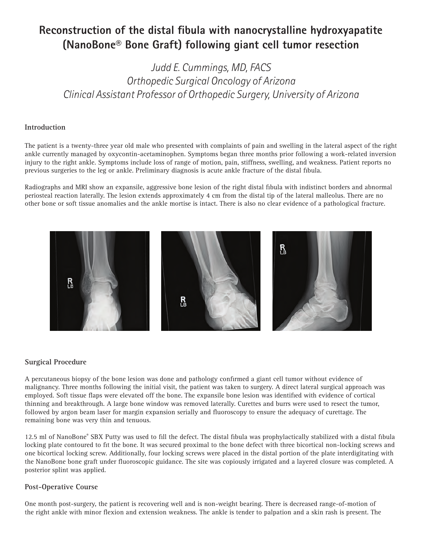# **Reconstruction of the distal fibula with nanocrystalline hydroxyapatite (NanoBone® Bone Graft) following giant cell tumor resection**

*Judd E. Cummings, MD, FACS Orthopedic Surgical Oncology of Arizona Clinical Assistant Professor of Orthopedic Surgery, University of Arizona*

### **Introduction**

The patient is a twenty-three year old male who presented with complaints of pain and swelling in the lateral aspect of the right ankle currently managed by oxycontin-acetaminophen. Symptoms began three months prior following a work-related inversion injury to the right ankle. Symptoms include loss of range of motion, pain, stiffness, swelling, and weakness. Patient reports no previous surgeries to the leg or ankle. Preliminary diagnosis is acute ankle fracture of the distal fibula.

Radiographs and MRI show an expansile, aggressive bone lesion of the right distal fibula with indistinct borders and abnormal periosteal reaction laterally. The lesion extends approximately 4 cm from the distal tip of the lateral malleolus. There are no other bone or soft tissue anomalies and the ankle mortise is intact. There is also no clear evidence of a pathological fracture.



#### **Surgical Procedure**

A percutaneous biopsy of the bone lesion was done and pathology confirmed a giant cell tumor without evidence of malignancy. Three months following the initial visit, the patient was taken to surgery. A direct lateral surgical approach was employed. Soft tissue flaps were elevated off the bone. The expansile bone lesion was identified with evidence of cortical thinning and breakthrough. A large bone window was removed laterally. Curettes and burrs were used to resect the tumor, followed by argon beam laser for margin expansion serially and fluoroscopy to ensure the adequacy of curettage. The remaining bone was very thin and tenuous.

12.5 ml of NanoBone® SBX Putty was used to fill the defect. The distal fibula was prophylactically stabilized with a distal fibula locking plate contoured to fit the bone. It was secured proximal to the bone defect with three bicortical non-locking screws and one bicortical locking screw. Additionally, four locking screws were placed in the distal portion of the plate interdigitating with the NanoBone bone graft under fluoroscopic guidance. The site was copiously irrigated and a layered closure was completed. A posterior splint was applied.

## **Post-Operative Course**

One month post-surgery, the patient is recovering well and is non-weight bearing. There is decreased range-of-motion of the right ankle with minor flexion and extension weakness. The ankle is tender to palpation and a skin rash is present. The